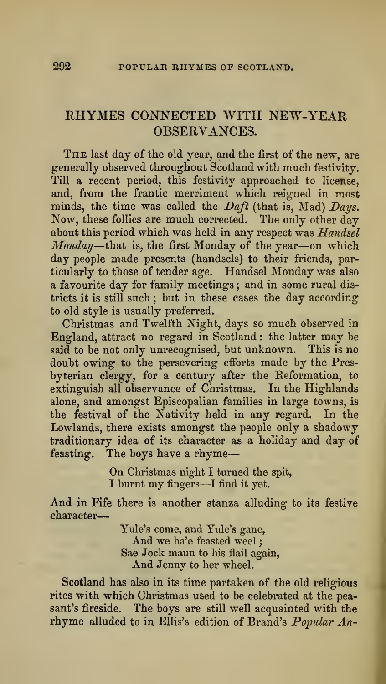# RHYMES CONNECTED WITH NEW-YEAR OBSERVANCES.

The last day of the old year, and the first of the new, are generally observed throughout Scotland with much festivity. Till a recent period, this festivity approached to license, and, from the frantic merriment which reigned in most minds, the time was called the  $D$ aft (that is, Mad) Days. Now, these follies are much corrected. The only other day about this period which was held in any respect was Handsel Monday—that is, the first Monday of the year—on which day people made presents (handsels) to their friends, particularly to those of tender age. Handsel Monday was also a favourite day for family meetings ; and in some rural districts it is still such ; but in these cases the day according to old style is usually preferred.

Christmas and Twelfth Night, days so much observed in England, attract no regard in Scotland : the latter may be said to be not only unrecognised, but unknown. This is no doubt owing to the persevering efforts made by the Presbyterian clergy, for a century after the Reformation, to extinguish all observance of Christmas. In the Highlands alone, and amongst Episcopalian families in large towns, isthe festival of the Nativity held in any regard. In the Lowlands, there exists amongst the people only a shadowy traditionary idea of its character as a holiday and day of feasting. The boys have a rhyme

> On Christmas night <sup>I</sup> turned the spit, <sup>I</sup> burnt my fingers—<sup>I</sup> find it yet.

And in Fife there is another stanza alluding to its festive character

> Yule's come, and Yule's gane, And we ha'e feasted weel; Sae Jock maun to his flail again. And Jenny to her wheel.

Scotland has also in its time partaken of the old religious rites with which Christmas used to be celebrated at the peasant's fireside. The boys are still well acquainted with the rhyme alluded to in Ellis's edition of Brand's Popular An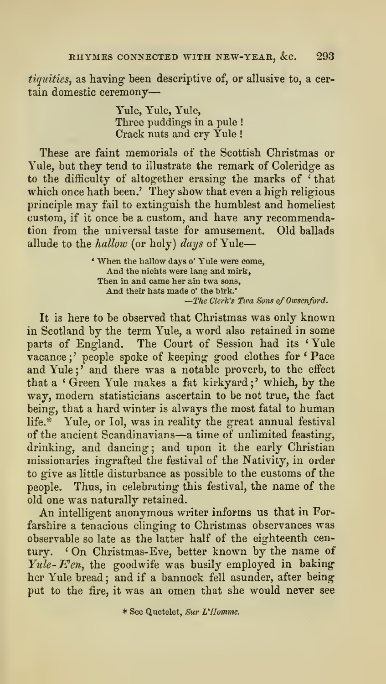tiquitics, as having been descriptive of, or allusive to, a cer tain domestic ceremony

> Yule, Yule, Yule, Three puddings in a pule ! Crack nuts and cry Yule !

These are faint memorials of the Scottish Christmas or Yule, but they tend to illustrate the remark of Coleridge as to the difficulty of altogether erasing the marks of 'that which once hath been.' They show that even a high religious principle may fail to extinguish the humblest and homeliest custom, if it once be a custom, and have any recommendation from the universal taste for amusement. Old ballads allude to the hallow (or holy) days of Yule-

> ' When the hallow days o' Yule were come, And the nichts were lang and mirk, Then in and came her ain twa sons, And their hats made o' the birk.' —The Clerk's Twa Sons 0/ Oicsen/ord.

It is here to be observed that Christmas was only known in Scotland by the term Yule, a word also retained in some parts of England. The Court of Session had its 'Yule vacance;' people spoke of keeping good clothes for 'Pace and Yule;' and there was a notable proverb, to the effect that a ' Green Yule makes a fat kirkyard ; ' which, by the way, modern statisticians ascertain to be not true, the fact being, that a hard winter is always the most fatal to human life.\* Yule, or lol, was in reality the great annual festival of the ancient Scandinavians—<sup>a</sup> time of unlimited feasting, drinking, and dancing; and upon it the early Christian missionaries ingrafted the festival of the Nativity, in order to give as little disturbance as possible to the customs of the people. Thus, in celebrating this festival, the name of the old one was naturally retained.

An intelligent anonymous writer informs us that in Forfarshire a tenacious clinging to Christmas observances was observable so late as the latter half of the eighteenth century. ' On Christmas-Eve, better known by the name of Yule-Een, the goodwife was busily employed in baking her Yule bread; and if a bannock fell asunder, after being put to the fire, it was an omen that she would never see

\* See Quetelet, Sur L'Homme.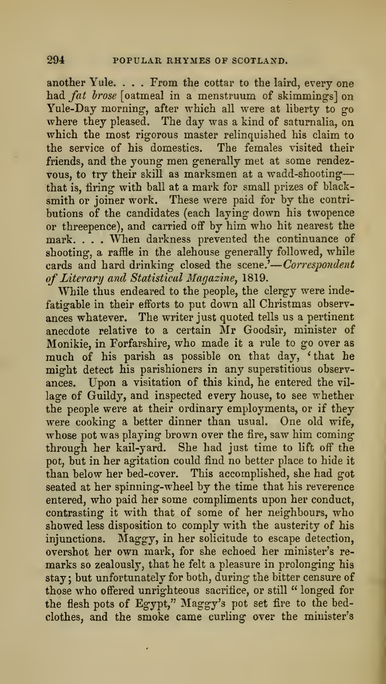another Yule. . . . From the cottar to the laird, every one had *fat brose* [oatmeal in a menstruum of skimmings] on Yule-Day morning, after which all were at liberty to go where they pleased. The day was akind of saturnalia, on which the most rigorous master relinquished his claim to the service of his domestics. The females visited their The females visited their friends, and the young men generally met at some rendezvous, to try their skill as marksmen at a wadd-shooting that is, tiring with hall at a mark for small prizes of black smith or joiner work. These were paid for by the contri butions of the candidates (each laying down his twopence or threepence), and carried off by him who hit nearest the mark. . . . When darkness prevented the continuance of shooting, a raffle in the alehouse generally followed, while cards and hard drinking closed the scene.' Correspondent of Literary and Statistical Magazine, 1819.

While thus endeared to the people, the clergy were indefatigable in their efforts to put down all Christmas observ ances whatever. The writer just quoted tells us a pertinent anecdote relative to <sup>a</sup> certain Mr Goodsir, minister of Monikie, in Forfarshire, who made it <sup>a</sup> rule to go over as much of his parish as possible on that day, 'that he might detect his parishioners in any superstitious observances. Upon a visitation of this kind, he entered the village of Guildy, and inspected every house, to see whether the people were at their ordinary employments, or if they were cooking a better dinner than usual. One old wife, whose pot was playing brown over the fire, saw him coming through her kail-yard. She had just time to lift off the pot, but in her agitation could find no better place to hide it than below her bed-cover. This accomplished, she had got seated at her spinning-wheel by the time that his reverence entered, who paid her some compliments upon her conduct, contrasting it with that of some of her neighbours, who showed less disposition to comply with the austerity of his injunctions. Maggy, in her solicitude to escape detection, overshot her own mark, for she echoed her minister's re marks so zealously, that he felt a pleasure in prolonging his stay; but unfortunately for both, during the bitter censure of those who offered unrighteous sacrifice, or still " longed for the flesh pots of Egypt," Maggy's pot set fire to the bed-clothes, and the smoke came curling over the minister's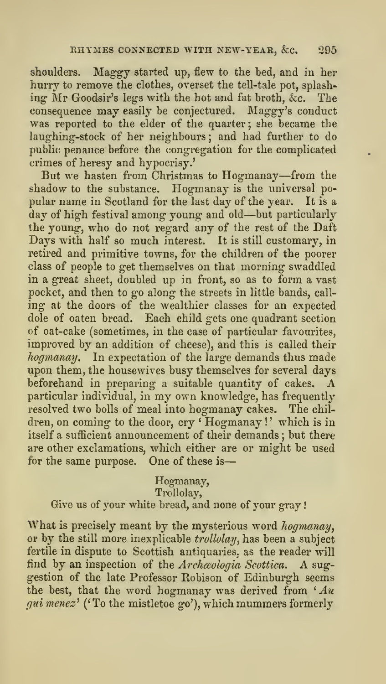shoulders. Maggy started up, flew to the bed, and in her hurry to remove the clothes, overset the tell-tale pot, splashing Mr Goodsir's legs with the hot and fat broth, &c. The consequence may easily be conjectured. Maggy's conduct was reported to the elder of the quarter; she became the laughing-stock of her neighbours; and had further to do public penance before the congregation for the complicated crimes of heresy and hypocrisy.'

But we hasten from Christmas to Hogmanay—from the shadow to the substance. Hogmanay is the universal po pular name in Scotland for the last day of the year. It is a day of high festival among young and old—but particularly the young, who do not regard any of the rest of the Daft Days with half so much interest. It is still customary, in retired and primitive towns, for the children of the poorer class of people to get themselves on that morning swaddled in a great sheet, doubled up in front, so as to form a vast pocket, and then to go along the streets in little bands, calling at the doors of the wealthier classes for an expected dole of oaten bread. Each child gets one quadrant section of oat-cake (sometimes, in the case of particular favourites, improved by an addition of cheese), and this is called their hogmanay. In expectation of the large demands thus made upon them, the housewives busy themselves for several days beforehand in preparing <sup>a</sup> suitable quantity of cakes. A particular individual, in my own knowledge, has frequently resolved two bolls of meal into hogmanay cakes. The chil dren, on coming to the door, cry 'Hogmanay!' which is in itself a sufficient announcement of their demands ; but there are other exclamations, which either are or might be used for the same purpose. One of these is-

# Hogmanay, Trollolav, Give us of your white bread, and none of your gray !

What is precisely meant by the mysterious word hogmanay, or by the still more inexplicable trollolay, has been a subject fertile in dispute to Scottish antiquaries, as the reader will find by an inspection of the Archaeologia Scottica. A suggestion of the late Professor Robison of Edinburgh seems the best, that the word hogmanay was derived from  $4u$ qui menez<sup>3</sup> ('To the mistletoe go'), which mummers formerly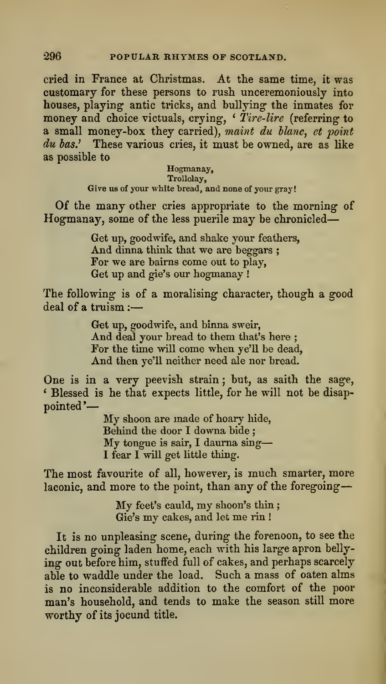cried in France at Christmas. At the same time, it was customary for these persons to rush unceremoniously into houses, playing antic tricks, and bullying- the inmates for money and choice victuals, crying, ' Tire-lire (referring to a small money-box they carried), maint du hlanc, et point du bas.' These various cries, it must be owned, are as like as possible to

> Hogmanay, Trollolay, Give us of your white bread, and none of your gray!

Of the many other cries appropriate to the morning of Hogmanay, some of the less puerile may be chronicled

> Get up, goodwife, and shake your feathers, And dinna think that we are beggars ; For we are bairns come out to play, Get up and gie's our hogmanay !

The following is of a moralising character, though a good deal of a truism :

> Get up, goodwife, and binna sweir, And deal your bread to them that's here ; For the time will come when ye'U be dead, And then ye'U neither need ale nor bread.

One is in a very peevish strain ; but, as saith the sage, ' Blessed is he that expects little, for he will not be disap pointed'

> My shoon are made of hoary hide, My tongue is sair, I daurna sing-I fear I will get little thing.

The most favourite of all, however, is much smarter, more laconic, and more to the point, than any of the foregoing-

> My feet's cauld, my shoon's thin ; Gie's my cakes, and let me rin!

It is no unpleasing scene, during the forenoon, to see the children going laden home, each with his large apron belly ing out before him, stuffed full of cakes, and perhaps scarcely able to waddle under the load. Such a mass of oaten alms is no inconsiderable addition to the comfort of the poor man's household, and tends to make the season still more worthy of its jocund title.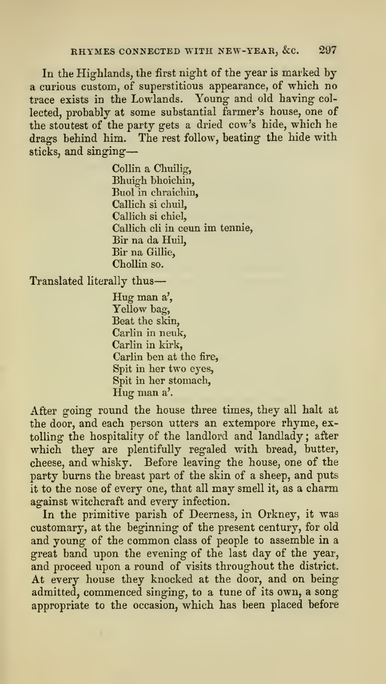In the Hig-hlands, the first night of the year is marked by a curious custom, of superstitious appearance, of which no trace exists in the Lowlands. Young- and old having- col lected, probably at some substantial farmer's house, one of the stoutest of the party gets a dried cow's hide, which he drags behind him. The rest follow, beating the hide with sticks, and singing-

> Collin a Chuilig, Bhuigh bhoichin, Buol in chraichin, Callich si chuil, Callich si chiel, Callich cli in ceun im tennie, Bir na da Huil, Bir na Gillie, Chollin so.

Translated literally thus

Hug man a'. Yellow bag. Beat the skin, Carlin in neuk, Carlin in kirk, Carlin ben at the fire, Spit in her two eyes, Spit in her stomach, Hug man a'.

After going round the house three times, they all halt at the door, and each person utters an extempore rhyme, extolling the hospitality of the landlord and landlady; after which they are plentifully regaled with bread, butter, cheese, and whisky. Before leaving the house, one of the party burns the breast part of the skin of a sheep, and puts it to the nose of every one, that all may smell it, as a charm against witchcraft and every infection.

In the primitive parish of Deerness, in Orkney, it was customary, at the beginning of the present century, for old and young of the common class of people to assemble in a great band upon the evening of the last day of the year, and proceed upon around of visits throughout the district. At every house they knocked at the door, and on being admitted, commenced singing, to a tune of its own, a song appropriate to the occasion, which has been placed before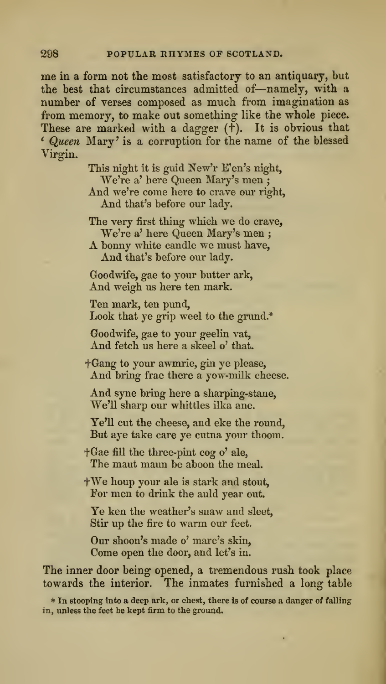me in <sup>a</sup> form not the most satisfactory to an antiquary, but the best that circumstances admitted of—namely, with <sup>a</sup> number of verses composed as much from imagination as from memory, to make out something like the whole piece. These are marked with a dagger  $(f)$ . It is obvious that \* Queen Mary' is a corruption for the name of the blessed Virgin.

> This night it is guid New'r E'en's night, We're a' here Queen Mary's men ; And we're come here to crave our right, And that's before our lady.

The very first thing which we do crave,<br>We're a' here Queen Mary's men;

A bonny white candle we must have,<br>And that's before our lady.

Goodwife, gae to your butter ark, And weigh us here ten mark.

Ten mark, ten pund. Look that ye grip weel to the grund.\*

Goodwife, gae to your geelin vat, And fetch us here a skeel o' that.

+Gang to your awmrie, gin ye please, And bring frae there a yow-milk cheese.

And syne bring here a sharping-stane, We'll sharp our whittles ilka ane.

Ye'll cut the cheese, and eke the round, But aye take care ye cutna your thoom.

 $\dagger$ Gae fill the three-pint cog o' ale, The maut maun be aboon the meal.

<sup>f</sup>We houp your ale is stark and stout, For men to drink the auld year out.

Ye ken the weather's snaw and sleet, Stir up the fire to warm our feet.

Our shoon's made o' mare's skin, Come open the door, and let's in.

The inner door being opened, a tremendous rush took place towards the interior. The inmates furnished a long table

\* In stooping into a deep ark, or chest, there isof course a danger of falling in, unless the feet be kept firm to the ground.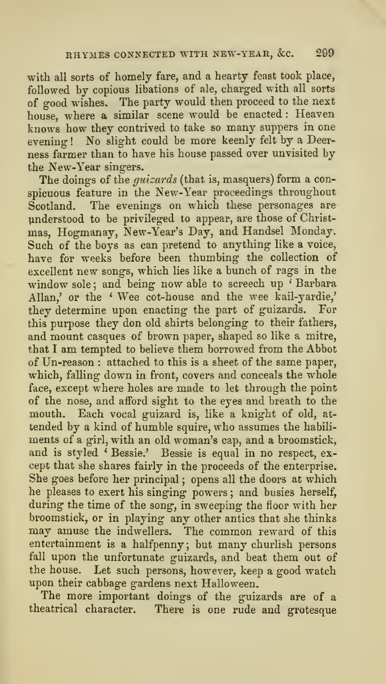with all sorts of homely fare, and a hearty feast took place, followed by copious libations of ale, charged with all sorts of good wishes. The party would then proceed to the next house, where a similar scene would be enacted : Heaven knows how they contrived to take so many suppers in one evening! No slight could be more keenly felt by a Deerness farmer than to have his house passed over unvisited by the New-Year singers.

The doings of the quizards (that is, masquers) form a conspicuous feature in the New-Year proceedings throughout Scotland. The evenings on which these personages are understood to be privileged to appear, are those of Christ mas, Hogmanay, New-Year's Day, and Handsel Monday. Such of the boys as can pretend to anything like a voice, have for weeks before been thumbing the collection of excellent new songs, which lies like a bunch of rags in the window sole; and being now able to screech up 'Barbara Allan,' or the ' Wee cot-house and the wee kail-yardie,' they determine upon enacting the part of guizards. For this purpose they don old shirts belonging to their fathers, and mount casques of brown paper, shaped so like a mitre, that <sup>I</sup> am tempted to believe them borrowed from the Abbot of Un-reason : attached to this is a sheet of the same paper, which, falling down in front, covers and conceals the whole face, except where holes are made to let through the point of the nose, and afford sight to the eyes and breath to the mouth. Each vocal guizard is, like a knight of old, at tended by a kind of humble squire, who assumes the habili ments of a girl, with an old woman's cap, and a broomstick, and is styled ' Bessie.' Bessie is equal in no respect, except that she shares fairly in the proceeds of the enterprise. She goes before her principal ; opens all the doors at which he pleases to exert his singing powers ; and busies herself, during the time of the song, in sweeping the floor with her broomstick, or in playing any other antics that she thinks may amuse the indwellers. The common reward of this entertainment is a halfpenny; but many churlish persons fall upon the unfortunate guizards, and beat them out of the house. Let such persons, however, keep a good watch upon their cabbage gardens next Halloween.

The more important doings of the guizards are of a theatrical character. There is one rude and grotesque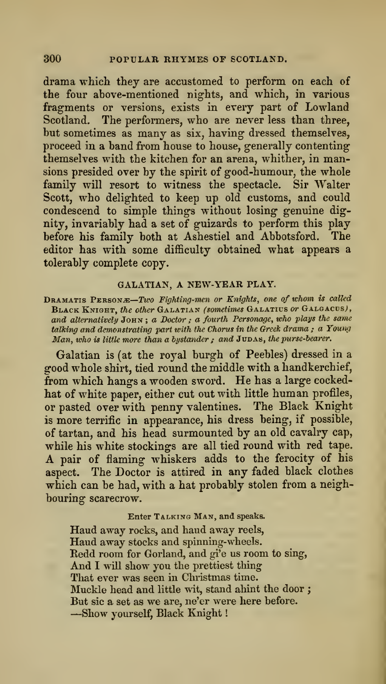drama which they are accustomed to perform on each of the four above-mentioned nights, and which, in various fragments or versions, exists in every part of Lowland Scotland. The performers, who are never less than three, hut sometimes as many as six, having- dressed themselves, proceed in a band from house to house, generally contenting themselves with the kitchen for an arena, whither, in mansions presided over by the spirit of good-humour, the whole family will resort to witness the spectacle. Sir Walter Scott, who delighted to keep up old customs, and could condescend to simple things without losing genuine dignity, invariably had a set of guizards to perform this play before his family both at Ashestiel and Abbotsford. The editor has with some difficulty obtained what appears a tolerably complete copy.

### GALATIAN, A NEW-YEAR PLAY.

DRAMATIS PERSONÆ-Two Fighting-men or Knights, one of whom is called BLACK KNIGHT, the other GALATIAN (sometimes GALATIUS or GALGACUS), and alternatively JOHN ; a Doctor ; a fourth Personage, who plays the same talking and demonstrating part with the Chorus in the Greek drama; a Young Man, who is little more than a bystander; and Judas, the purse-bearer.

Galatian is (at the royal burgh of Peebles) dressed in a good whole shirt, tied round the middle with a handkerchief, from which hangs <sup>a</sup> wooden sword. He has <sup>a</sup> large cocked hat of white paper, either cut out with little human profiles, or pasted over with penny valentines. The Black Knight is more terrific in appearance, his dress being, if possible, of tartan, and his head surmounted by an old cavalry cap, while his white stockings are all tied round with red tape. A pair of flaming whiskers adds to the ferocity of his aspect. The Doctor is attired in any faded black clothes which can be had, with a hat probably stolen from a neigh bouring scarecrow.

#### Enter Talking Man, and speaks.

Haud away rocks, and baud away reels, Hand away stocks and spinning-wheels. Redd room for Gorland, and gi'e us room tosing, And <sup>I</sup> will show you the prettiest thing That ever was seen in Christmas time. Muckle head and little wit, stand ahint the door; But sic <sup>a</sup> set as we are, ne'er were here before. —Show yourself, Black Knight <sup>I</sup>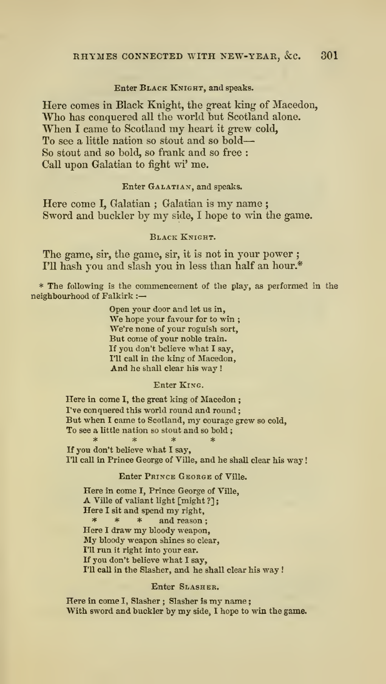# Enter Black Knight, and speaks.

Here comes in Black Knight, the great king of Macedon, AVho has conquered all the world but Scotland alone. When I came to Scotland my heart it grew cold, To see a little nation so stout and so bold So stout and so bold, so frank and so free : Call upon Galatian to fight wi' me.

#### Enter GALATIAN, and speaks.

Here come I, Galatian : Galatian is my name : Sword and buckler by my side,<sup>I</sup> hope to win the game.

#### Black Knight.

The game, sir, the game, sir, it is not in your power ; I'll hash you and slash you in less than half an hour.\*

\* The following is the commencement ofthe play, as performed in the neighbourhood of Falkirk :—

> Open your door and let us in, We hope your favour for to win ; We're none of your roguish sort. But come of your noble train. If you don't believe what <sup>I</sup> say, I'll call in the king of Macedon, And he shall clear his way !

#### Enter King.

Here in come I, the great king of Macedon; I've conquered this world round and round ; But when I came to Scotland, my courage grew so cold, To see a little nation so stout and so bold ;<br>  $*$   $*$   $*$   $*$ \* \* \* \* If you don't believe what I say,

I'll call in Prince George of Ville, and he shall clear his way!

### Enter Prince George of Ville.

Here in come I, Prince George of Ville, A Ville of valiant light [might ?]; Here I sit and spend my right,<br> $* * and reason$ \* \* \* and reason;<br>Here I draw my bloody weapon, My bloody weapon shines so clear, I'U run it right into your ear. If you don't believe what I say, I'll call in the Slasher, and he shall clear his way !

#### Enter SLASHER.

Here in come I, Slasher; Slasher is my name; With sword and buckler by my side. I hope to win the game.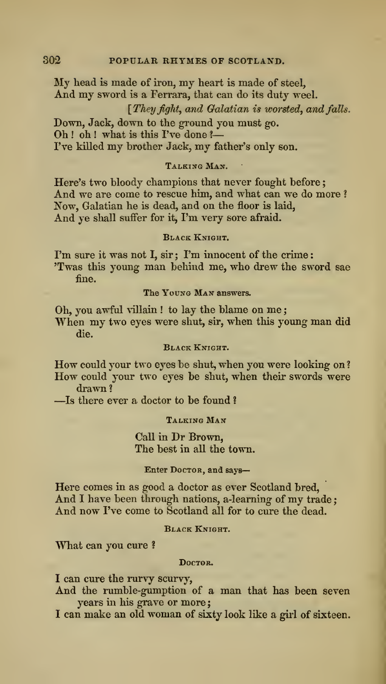My head is made of iron, my heart is made of steel, And my sword is <sup>a</sup> Ferrara, that can do its duty weel.

[They fight, and Galatian is worsted, and falls.

Down, Jack, down to the ground you must go. Oh ! oh ! what is this I've done ?

I've killed my brother Jack, my father's only son.

# Talking Man.

Here's two bloody champions that never fought before: And we are come to rescue him, and what can we do more ? Now, Galatian he is dead, and on the floor is laid, And ye shall suffer for it, I'm very sore afraid.

# Black Knight.

I'm sure it was not I, sir; I'm innocent of the crime: 'Twas this young man behind me, who drew the sword sae fine.

### The Young Man answers.

Oh, you awful villain ! to lay the blame on me;

When my two eyes were shut, sir, when this young man did die.

# Black Knight.

How could your two eyes be shut, when you were looking on?<br>How could your two eyes be shut, when their swords were<br>drawn?

 $\overline{-1}$ s there ever a doctor to be found?

Talking Man

Call in Dr Brown, The best in all the town.

### Enter Docror, and says-

Here comes in as good a doctor as ever Scotland bred. And I have been through nations, a-learning of my trade; And now I've come to Scotland all for to cure the dead.

Black Knight.

What can you cure ?

### DOCTOR.

I can cure the rurvy scurvy,

And the rumble-gumption of a man that has been seven years in his grave or more

<sup>I</sup> can make an old woman of sixty look like a giii of sixteen.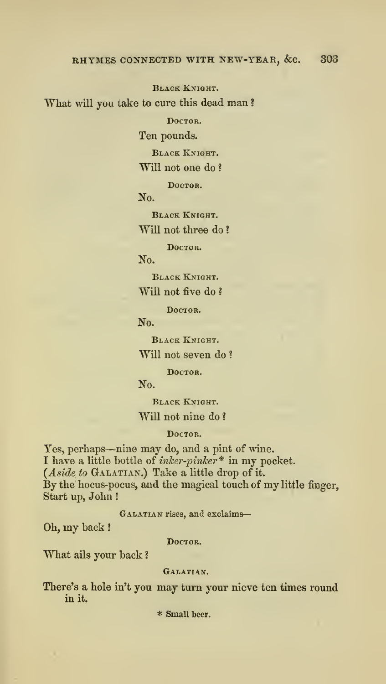Black Knight.

What will you take to cure this dead man ?

DOCTOR.

Ten pounds.

Black Knight.

Will not one do ?

Doctor.

No.

Black Knight.

Will not three do ?

Doctor.

No.

Black Knight.

Will not five do ?

Docror.

No.

Black Knight.

Will not seven do ?

Doctor.

No.

Black Knight.

Will not nine do ?

Doctor.

Yes, perhaps—nine may do, and a pint of wine. I have a little bottle of  $inker\text{-}pinker\text{*}$  in my pocket. (Aside to GALATIAN.) Take a little drop of it. By the hocus-pocus, and the magical touch of my little finger. Start up, John !

Galatian rises, and exclaims—

Oh, my back !

Doctor.

What ails your back?

### Galatian.

There's a hole in't you may turn your nieve ten times round in it.

\* Small beer.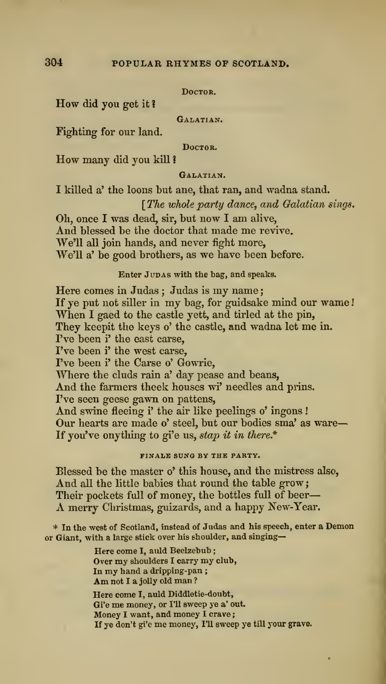# 304 POPULAR RHYMES OF SCOTLAND.

Docrop.

How did you get it?

Galatian.

Fighting for our land.

Docror.

How many did you kill <sup>2</sup>

Galatian.

<sup>I</sup> killed a' the loons but ane, that ran, and wadna stand.

[The whole party dance, and Galatian sings.

Oh, once <sup>I</sup> was dead, sir, but now <sup>I</sup> am alive. And blessed be the doctor that made me revive. We'll all join hands, and never fight more, We'll a'be good brothers, as we have been before.

Enter Jupas with the bag, and speaks.

Here comes in Judas; Judas is my name;<br>If ye put not siller in my bag, for guidsake mind our wame! When I gaed to the castle yett, and tirled at the pin, They keepit the keys o' the castle, and wadna let me in. I've been i' the east carse, I've been i' the west carse, I've been i' the Carse o' Gowrie, Where the cluds rain a' day pease and beans, And the farmers theek houses wi' needles and prins. I've seen geese gawn on pattens. And swine fleeing i' the air like peelings o' ingons ! Our hearts are made o' steel, but our bodies sma' as ware If you've onything to gi'e us, stap it in there.\*

finale sung by the party.

Blessed be the master o' this house, and the mistress also, And all the little babies that round the table grow; Their pockets full of money, the bottles full of beer A merry Christmas, guizards, and <sup>a</sup> happy New-Year.

\* In the west of Scotland, instead of Judas and his speech, enter a Demon or Giant, with a large stick over his shoulder, and singing-

> Here come I, auld Beelzebub; Over my shoulders <sup>I</sup> carry my club, In my hand <sup>a</sup> dripping-pan ; Am not <sup>I</sup> <sup>a</sup> jolly old man ?

Here come I, auld Diddletie-doubt, Gi'e me money, or I'll sweep ye a'out. Money <sup>I</sup> want, and money <sup>I</sup> crave If ye don't gi'e me money, I'll sweep ye till your grave.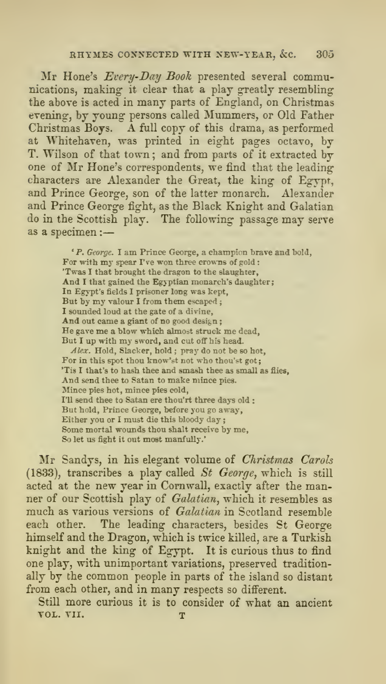Mr Hone's Every-Day Book presented several communications, making- it clear that a play greatly resembling the above is acted in many parts of England, on Christmas evening, by young persons called Mummers, or Old Father Christmas Boys. A full copy of this drama, as performed at Whitehaven, was printed in eight pages octavo, by T. Wilson of that town; and from parts of it extracted by one of Mr Hone's correspondents, we find that the leading characters are Alexander the Great, the king of Egypt, and Prince George, son of the latter monarch. Alexander and Prince George fight, as the Black Knight and Galatian do in the Scottish play. The following passage may serve as a specimen :

> P. George. I am Prince George, a champion brave and bold, For with my spear I've won three crowns of gold : 'Twas I that brought the dragon to the slaughter. And I that gained the Egyptian monarch's daughter; In Egypt's fields I prisoner long was kept. But by my valour I from them escaped; I sounded loud at the gate of a divine, And out came a giant of no good design; He gave me a blow which almost struck me dead. But I up with my sword, and cut off his head. Alex. Hold, Slacker, hold; pray do not be so hot, For in this spot thou know'st not who thou'st got; 'Tis I that's to hash thee and smash thee as small as flies, And send thee to Satan to make mince pica. Mince pies hot, mince pies cold,

I'll send thee to Satan ere thou'rt three days old : But hold, Prince George, before you go away, Either you or <sup>I</sup> must die this bloody day ; Some mortal wounds thou shalt receive by me. So let us fight it out most manfully.'

!Mr Sandys, in his elegant volume of Christmas Carols (1833), transcribes a play called St George, which is still acted at the new year in Cornwall, exactly after the manner of our Scottish play of Galatian, which it resembles as much as various versions of *Galatian* in Scotland resemble each other. The leading characters, besides St. George The leading characters, besides St George himself and the Dragon, which is twice killed, are a Turkish knight and the king of Egypt. It is curious thus to find one play, with unimportant variations, preserved traditionally by the common people in parts of the island so distant from each other, and in many respects so different.

Still more curious it is to consider of what an ancient  $\sum_{\text{L}}$ VOL. VII.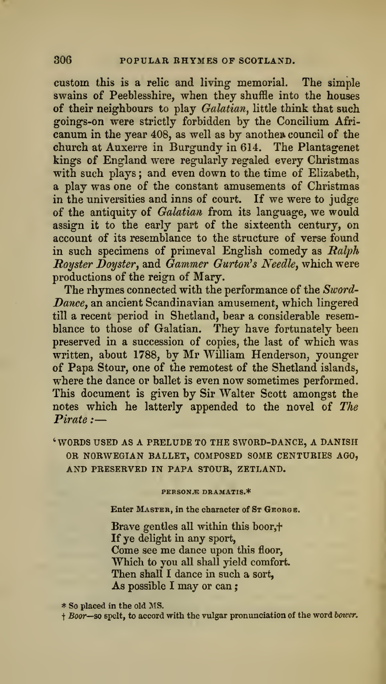custom this is a relic and living memorial. The simple swains of Peeblesshire, when they shuffle into the houses of their neighbours to play Galatian, little think that such goings-on were strictly forbidden by the Concilium Afri canum in the year 408, as well as by another council of the church at Auxerre in Burgundy in 614. The Plantagenet kings of England were regularly regaled every Christmas with such plays; and even down to the time of Elizabeth, a play was one of the constant amusements of Christmas in the universities and inns of court. If we were to judge of the antiquity of Galatian from its language, we would assign it to the early part of the sixteenth century, on account of its resemblance to the structure of verse found in such specimens of primeval English comedy as Ralph Royster Doyster, and Gammer Gurton's Needle, which were productions of the reign of Mary.

The rhymes connected with the performance of the Sword-Dance, an ancient Scandinavian amusement, which lingered till a recent period in Shetland, bear a considerable resemblance to those of Galatian. They have fortunately been preserved in a succession of copies, the last of which was written, about 1788, by Mr William Henderson, younger of Papa Stour, one of the remotest of the Shetland islands, where the dance or ballet is even now sometimes performed. This document is given by Sir Walter Scott amongst the notes which he latterly appended to the novel of The  $Pirate \leftarrow$  $P*irate* :=$ 

'words used as a prelude to the sword-dance, a DANISH OR NORWEGIAN BALLET, COMPOSED SOME CENTURIES AGO, AND PRESERVED IN PAPA STOUR, ZETLAND.

PERSON.E DRAMATIS.\*

Enter MASTER, in the character of ST GEORGE.

Brave gentles all within this boor,+ If ye delight in any sport, Come see me dance upon this floor, Which to you aU shall yield comfort. Then shall I dance in such a sort, As possible I may or can:

\* So placed in the old MS.

t Boor-so spelt, to accord with the vulgar pronunciation of the word bower.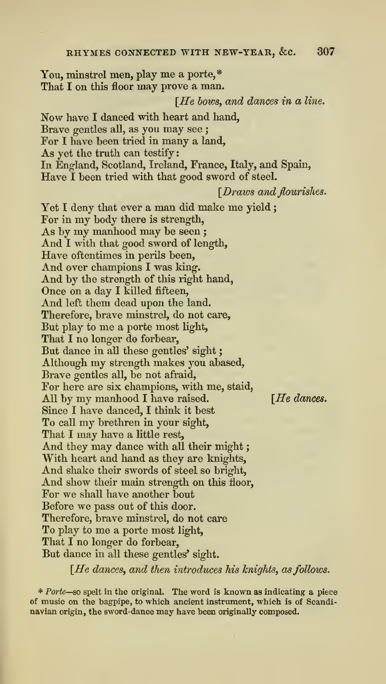You, minstrel men, play me a porte,\* That I on this floor may prove a man.

# [He bows, and dances in a line.

Now have I danced with heart and hand. Brave gentles all, as you may see ; For <sup>I</sup> have been tried in many a land. As yet the truth can testify: In England, Scotland, Ireland, France, Italy, and Spain, Have I been tried with that good sword of steel.

### [Draws and flourishes.

Yet I deny that ever a man did make me yield ; For in my body there is strength, As by my manhood may be seen ; And <sup>I</sup> with that good sword of length, Have oftentimes in perils been, And over champions I was king. And by the strength of this right hand, Once on a day I killed fifteen, And left them dead upon the land. Therefore, brave minstrel, do not care, But play to me a porte most light. That I no longer do forbear, But dance in all these gentles' sight; Although my strength makes you abased, Brave gentles all, be not afraid, For here are six champions, with me, staid,<br>All by my manhood I have raised. [He dances, All by my manhood I have raised. Since I have danced, I think it best To call my brethren in your sight, That <sup>I</sup> may have a little rest. And they may dance with all their might; With heart and hand as they are knights. And shake their swords of steel so bright, And show their main strength on this floor, For we shall have another bout Before we pass out of this door. Therefore, brave minstrel, do not care To play to me a porte most light. That I no longer do forbear, But dance in all these gentles' sight.  $[He$  dances, and then introduces his knights, as follows.

\* Porte-so spelt in the original. The word is known as indicating a piece of music on the bagpipe, to which ancient instrument, which is of Scandi navian origin, the sword-dance may have been originally composed.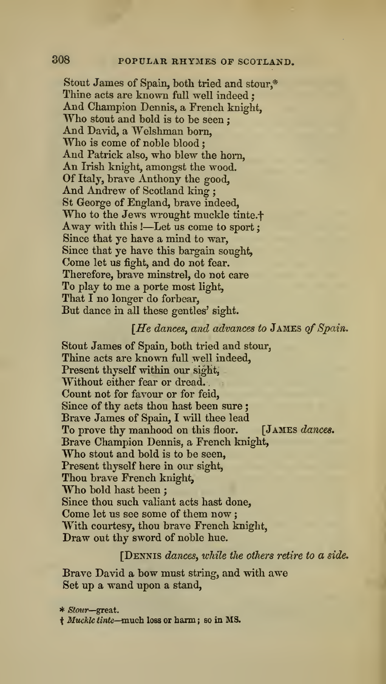# 308 POPULAR RHYMES OP SCOTLAND.

Stout James of Spain, both tried and stour,\* Thine acts are known full well indeed: And Champion Dennis, a French knight,<br>Who stout and bold is to be seen ;<br>And David, a Welshman born, Who is come of noble blood;<br>And Patrick also, who blew the horn. An Irish knight, amongst the wood. Of Italy, brave Anthony the good. And Andrew of Scotland king ;<br>St George of England, brave indeed, Who to the Jews wrought muckle tinte.+ Away with this !-Let us come to sport; Since that ye have a mind to war, Since that ye have this bargain sought, Come let us fight, and do not fear. Therefore, brave minstrel, do not care To play to me a porte most light, That I no longer do forbear. But dance in all these gentles' sight.

# [He dances, and advances to JAMES of Spain.

Stout James of Spain, both tried and stour. Thine acts are known full well indeed, Present thyself within our sight, Without either fear or dread. Count not for favour or for feid. Since of thy acts thou hast been sure; Brave James of Spain, I will thee lead<br>To prove thy manhood on this floor. [JAMES dances, To prove thy manhood on this floor. Brave Champion Dennis, a French knight, Who stout and bold is to be seen, Present thyself here in our sight, Thou brave French knight. Who bold hast been ; Since thou such valiant acts hast done. Come let us see some of them now ; With courtesy, thou brave French knight, Draw out thy sword of noble hue.

# [Dennis dances, while the others retire to a side.

Brave David a bow must string, and with awe Set up a wand upon a stand,

\* Stour—great.

t Muckle tinte—much loss or harm; so in MS.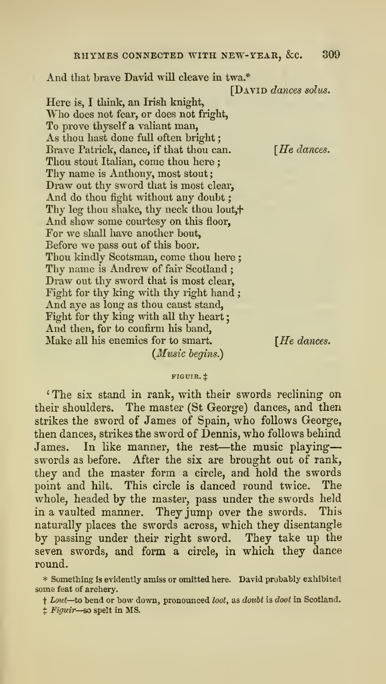And that brave David will cleave in twa.\*

Here is, <sup>I</sup> think, an Irish knight, Who does not fear, or does not fright, To prove thyself a valiant man, As thou hast done full often bright; Brave Patrick, dance, if that thou can. [He dances. Thou stout Italian, come thou here ; Thy name is Anthony, most stout Draw out thy sword that is most clear. And do thou fight without any doubt; Thy leg thou shake, thy neck thou lout,+ And show some courtesy on this floor, For we shall have another bout, Before we pass out of this boor. Thou kindly Scotsman, come thou here ; Thy name is Andrew of fair Scotland ; Draw out thy sword that is most clear. Fight for thy king with thy right hand ; And aye as long as thou canst stand, Fight for thy king with all thy heart And then, for to confirm his band. Make all his enemies for to smart. [He dances.  $(Music\;beains.)$ 

[DAVID dances solus.

### FIGUIR. ±

' The six stand in rank, with their swords reclining- on their shoulders. The master (St George) dances, and then strikes the sword of James of Spain, who follows George, then dances, strikes the sword of Dennis, who follows behind James. In like manner, the rest-the music playingswords as before. After the six are brought out of rank, they and the master form a circle, and hold the swords point and hilt. This circle is danced round twice. The whole, headed by the master, pass under the swords held in a vaulted manner. They jump over the swords. This naturally places the swords across, which they disentangle by passing under their right sword. They take up the seven swords, and form a circle, in which they dance round.

\* Something is evidently amiss or omitted here. David probably exhibited some feat of archery,

t Lout-to bend or bow down, pronounced loot, as doubt is doot in Scotland.

 $# Figure 50$  spelt in MS.